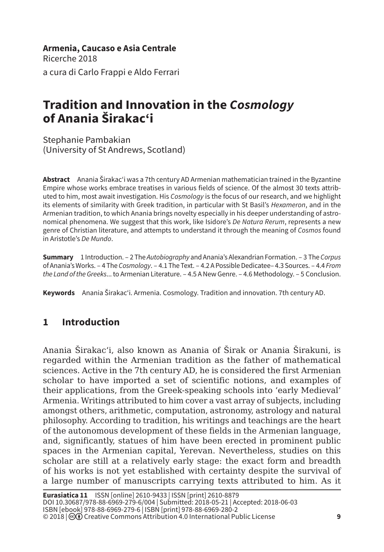**Armenia, Caucaso e Asia Centrale** Ricerche 2018 a cura di Carlo Frappi e Aldo Ferrari

# **Tradition and Innovation in the** *Cosmology* **of Anania Širakac'i**

Stephanie Pambakian (University of St Andrews, Scotland)

**Abstract** Anania Širakac'i was a 7th century AD Armenian mathematician trained in the Byzantine Empire whose works embrace treatises in various fields of science. Of the almost 30 texts attributed to him, most await investigation. His *Cosmology* is the focus of our research, and we highlight its elements of similarity with Greek tradition, in particular with St Basil's *Hexameron*, and in the Armenian tradition, to which Anania brings novelty especially in his deeper understanding of astronomical phenomena. We suggest that this work, like Isidore's *De Natura Rerum*, represents a new genre of Christian literature, and attempts to understand it through the meaning of *Cosmos* found in Aristotle's *De Mundo*.

**Summary** 1 Introduction. – 2 The *Autobiography* and Anania's Alexandrian Formation. – 3 The *Corpus* of Anania's Works. – 4 The *Cosmology*. – 4.1 The Text. – 4.2 A Possible Dedicatee– 4.3 Sources. – 4.4 *From the Land of the Greeks*... to Armenian Literature. – 4.5 A New Genre. – 4.6 Methodology. – 5 Conclusion.

**Keywords** Anania Širakac'i. Armenia. Cosmology. Tradition and innovation. 7th century AD.

# **1 Introduction**

Anania Širakac'i, also known as Anania of Širak or Anania Širakuni, is regarded within the Armenian tradition as the father of mathematical sciences. Active in the 7th century AD, he is considered the first Armenian scholar to have imported a set of scientific notions, and examples of their applications, from the Greek-speaking schools into 'early Medieval' Armenia. Writings attributed to him cover a vast array of subjects, including amongst others, arithmetic, computation, astronomy, astrology and natural philosophy. According to tradition, his writings and teachings are the heart of the autonomous development of these fields in the Armenian language, and, significantly, statues of him have been erected in prominent public spaces in the Armenian capital, Yerevan. Nevertheless, studies on this scholar are still at a relatively early stage: the exact form and breadth of his works is not yet established with certainty despite the survival of a large number of manuscripts carrying texts attributed to him. As it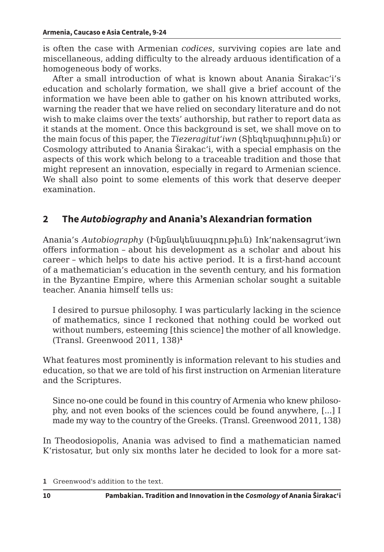is often the case with Armenian *codices*, surviving copies are late and miscellaneous, adding difficulty to the already arduous identification of a homogeneous body of works.

After a small introduction of what is known about Anania Širakac'i's education and scholarly formation, we shall give a brief account of the information we have been able to gather on his known attributed works, warning the reader that we have relied on secondary literature and do not wish to make claims over the texts' authorship, but rather to report data as it stands at the moment. Once this background is set, we shall move on to the main focus of this paper, the *Tiezeragitut'iwn* (Տիեզերագիտութիւն) or Cosmology attributed to Anania Širakac'i, with a special emphasis on the aspects of this work which belong to a traceable tradition and those that might represent an innovation, especially in regard to Armenian science. We shall also point to some elements of this work that deserve deeper examination.

# **2 The** *Autobiography* **and Anania's Alexandrian formation**

Anania's *Autobiography* (Ինքնակենսագրութիւն) Ink'nakensagrut'iwn offers information – about his development as a scholar and about his career – which helps to date his active period. It is a first-hand account of a mathematician's education in the seventh century, and his formation in the Byzantine Empire, where this Armenian scholar sought a suitable teacher. Anania himself tells us:

I desired to pursue philosophy. I was particularly lacking in the science of mathematics, since I reckoned that nothing could be worked out without numbers, esteeming [this science] the mother of all knowledge. (Transl. Greenwood 2011, 138)**<sup>1</sup>**

What features most prominently is information relevant to his studies and education, so that we are told of his first instruction on Armenian literature and the Scriptures.

Since no-one could be found in this country of Armenia who knew philosophy, and not even books of the sciences could be found anywhere, [...] I made my way to the country of the Greeks. (Transl. Greenwood 2011, 138)

In Theodosiopolis, Anania was advised to find a mathematician named K'ristosatur, but only six months later he decided to look for a more sat-

**<sup>1</sup>** Greenwood's addition to the text.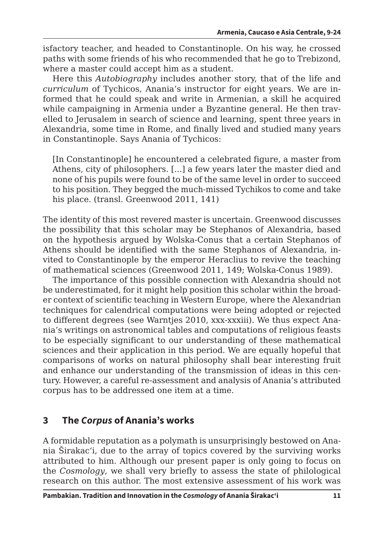isfactory teacher, and headed to Constantinople. On his way, he crossed paths with some friends of his who recommended that he go to Trebizond, where a master could accept him as a student.

Here this *Autobiography* includes another story, that of the life and *curriculum* of Tychicos, Anania's instructor for eight years. We are informed that he could speak and write in Armenian, a skill he acquired while campaigning in Armenia under a Byzantine general. He then travelled to Jerusalem in search of science and learning, spent three years in Alexandria, some time in Rome, and finally lived and studied many years in Constantinople. Says Anania of Tychicos:

[In Constantinople] he encountered a celebrated figure, a master from Athens, city of philosophers. [...] a few years later the master died and none of his pupils were found to be of the same level in order to succeed to his position. They begged the much-missed Tychikos to come and take his place. (transl. Greenwood 2011, 141)

The identity of this most revered master is uncertain. Greenwood discusses the possibility that this scholar may be Stephanos of Alexandria, based on the hypothesis argued by Wolska-Conus that a certain Stephanos of Athens should be identified with the same Stephanos of Alexandria, invited to Constantinople by the emperor Heraclius to revive the teaching of mathematical sciences (Greenwood 2011, 149; Wolska-Conus 1989).

The importance of this possible connection with Alexandria should not be underestimated, for it might help position this scholar within the broader context of scientific teaching in Western Europe, where the Alexandrian techniques for calendrical computations were being adopted or rejected to different degrees (see Warntjes 2010, xxx-xxxiii). We thus expect Anania's writings on astronomical tables and computations of religious feasts to be especially significant to our understanding of these mathematical sciences and their application in this period. We are equally hopeful that comparisons of works on natural philosophy shall bear interesting fruit and enhance our understanding of the transmission of ideas in this century. However, a careful re-assessment and analysis of Anania's attributed corpus has to be addressed one item at a time.

# **3 The** *Corpus* **of Anania's works**

A formidable reputation as a polymath is unsurprisingly bestowed on Anania Širakac'i, due to the array of topics covered by the surviving works attributed to him. Although our present paper is only going to focus on the *Cosmology*, we shall very briefly to assess the state of philological research on this author. The most extensive assessment of his work was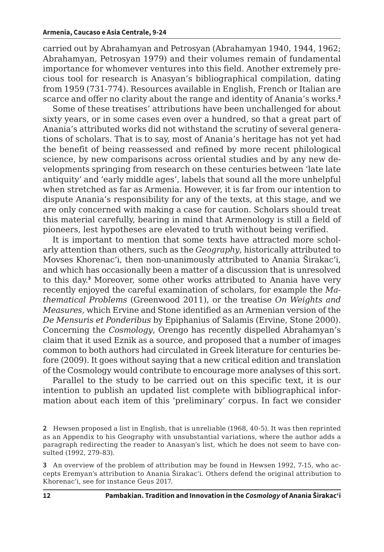carried out by Abrahamyan and Petrosyan (Abrahamyan 1940, 1944, 1962; Abrahamyan, Petrosyan 1979) and their volumes remain of fundamental importance for whomever ventures into this field. Another extremely precious tool for research is Anasyan's bibliographical compilation, dating from 1959 (731-774). Resources available in English, French or Italian are scarce and offer no clarity about the range and identity of Anania's works.**<sup>2</sup>**

Some of these treatises' attributions have been unchallenged for about sixty years, or in some cases even over a hundred, so that a great part of Anania's attributed works did not withstand the scrutiny of several generations of scholars. That is to say, most of Anania's heritage has not yet had the benefit of being reassessed and refined by more recent philological science, by new comparisons across oriental studies and by any new developments springing from research on these centuries between 'late late antiquity' and 'early middle ages', labels that sound all the more unhelpful when stretched as far as Armenia. However, it is far from our intention to dispute Anania's responsibility for any of the texts, at this stage, and we are only concerned with making a case for caution. Scholars should treat this material carefully, bearing in mind that Armenology is still a field of pioneers, lest hypotheses are elevated to truth without being verified.

It is important to mention that some texts have attracted more scholarly attention than others, such as the *Geography*, historically attributed to Movses Khorenac'i, then non-unanimously attributed to Anania Širakac'i, and which has occasionally been a matter of a discussion that is unresolved to this day.**<sup>3</sup>** Moreover, some other works attributed to Anania have very recently enjoyed the careful examination of scholars, for example the *Mathematical Problems* (Greenwood 2011), or the treatise *On Weights and Measures*, which Ervine and Stone identified as an Armenian version of the *De Mensuris et Ponderibus* by Epiphanius of Salamis (Ervine, Stone 2000). Concerning the *Cosmology*, Orengo has recently dispelled Abrahamyan's claim that it used Eznik as a source, and proposed that a number of images common to both authors had circulated in Greek literature for centuries before (2009). It goes without saying that a new critical edition and translation of the Cosmology would contribute to encourage more analyses of this sort.

Parallel to the study to be carried out on this specific text, it is our intention to publish an updated list complete with bibliographical information about each item of this 'preliminary' corpus. In fact we consider

**<sup>2</sup>** Hewsen proposed a list in English, that is unreliable (1968, 40-5). It was then reprinted as an Appendix to his Geography with unsubstantial variations, where the author adds a paragraph redirecting the reader to Anasyan's list, which he does not seem to have consulted (1992, 279-83).

**<sup>3</sup>** An overview of the problem of attribution may be found in Hewsen 1992, 7-15, who accepts Eremyan's attribution to Anania Širakac'i. Others defend the original attribution to Khorenac'i, see for instance Geus 2017.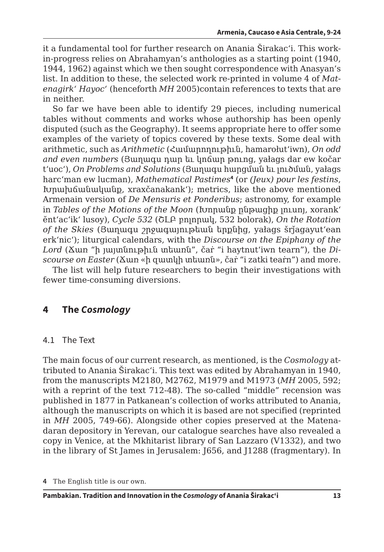it a fundamental tool for further research on Anania Širakac'i. This workin-progress relies on Abrahamyan's anthologies as a starting point (1940, 1944, 1962) against which we then sought correspondence with Anasyan's list. In addition to these, the selected work re-printed in volume 4 of *Matenagirk' Hayoc'* (henceforth *MH* 2005)contain references to texts that are in neither.

So far we have been able to identify 29 pieces, including numerical tables without comments and works whose authorship has been openly disputed (such as the Geography). It seems appropriate here to offer some examples of the variety of topics covered by these texts. Some deal with arithmetic, such as *Arithmetic* (Համարողութիւն, hamarołut'iwn), *On odd and even numbers* (Յաղագս դար եւ կոճար թուոց, yałags dar ew kočar t'uoc'), *On Problems and Solutions* (Յաղագս հարցման եւ լուծման, yałags harc'man ew lucman), *Mathematical Pastimes***<sup>4</sup>** (or *(Jeux) pour les festins*, Խրախճանականք, xraxčanakank'); metrics, like the above mentioned Armenain version of *De Mensuris et Ponderibus*; astronomy, for example in *Tables of the Motions of the Moon* (Խորանք ընթացիք լուսոյ, xorank' ĕnt'ac'ik' lusoy), *Cycle 532* (ՇԼԲ բոլորակ, 532 bolorak), *On the Rotation of the Skies* (Յաղագս շրջագայութեան երքնից, yałags šrǰagayut'ean erk'nic'); liturgical calendars, with the *Discourse on the Epiphany of the Lord* (Ճառ "ի յայտնութիւն տեառն", čaṙ "i haytnut'iwn tearn"), the *Discourse on Easter* (Ճառ «ի զատկի տեառն», čaṙ "i zatki teaṙn") and more.

The list will help future researchers to begin their investigations with fewer time-consuming diversions.

# **4 The** *Cosmology*

### 4.1 The Text

The main focus of our current research, as mentioned, is the *Cosmology* attributed to Anania Širakac'i. This text was edited by Abrahamyan in 1940, from the manuscripts M2180, M2762, M1979 and M1973 (*MH* 2005, 592; with a reprint of the text 712-48). The so-called "middle" recension was published in 1877 in Patkanean's collection of works attributed to Anania, although the manuscripts on which it is based are not specified (reprinted in *MH* 2005, 749-66). Alongside other copies preserved at the Matenadaran depository in Yerevan, our catalogue searches have also revealed a copy in Venice, at the Mkhitarist library of San Lazzaro (V1332), and two in the library of St James in Jerusalem: J656, and J1288 (fragmentary). In

**<sup>4</sup>** The English title is our own.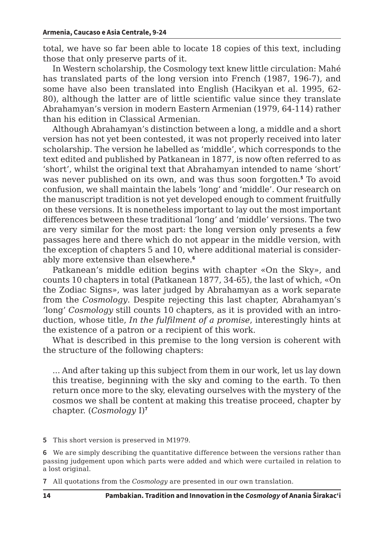total, we have so far been able to locate 18 copies of this text, including those that only preserve parts of it.

In Western scholarship, the Cosmology text knew little circulation: Mahé has translated parts of the long version into French (1987, 196-7), and some have also been translated into English (Hacikyan et al. 1995, 62- 80), although the latter are of little scientific value since they translate Abrahamyan's version in modern Eastern Armenian (1979, 64-114) rather than his edition in Classical Armenian.

Although Abrahamyan's distinction between a long, a middle and a short version has not yet been contested, it was not properly received into later scholarship. The version he labelled as 'middle', which corresponds to the text edited and published by Patkanean in 1877, is now often referred to as 'short', whilst the original text that Abrahamyan intended to name 'short' was never published on its own, and was thus soon forgotten.**<sup>5</sup>** To avoid confusion, we shall maintain the labels 'long' and 'middle'. Our research on the manuscript tradition is not yet developed enough to comment fruitfully on these versions. It is nonetheless important to lay out the most important differences between these traditional 'long' and 'middle' versions. The two are very similar for the most part: the long version only presents a few passages here and there which do not appear in the middle version, with the exception of chapters 5 and 10, where additional material is considerably more extensive than elsewhere.**<sup>6</sup>**

Patkanean's middle edition begins with chapter «On the Sky», and counts 10 chapters in total (Patkanean 1877, 34-65), the last of which, «On the Zodiac Signs», was later judged by Abrahamyan as a work separate from the *Cosmology*. Despite rejecting this last chapter, Abrahamyan's 'long' *Cosmology* still counts 10 chapters, as it is provided with an introduction, whose title, *In the fulfilment of a promise*, interestingly hints at the existence of a patron or a recipient of this work.

What is described in this premise to the long version is coherent with the structure of the following chapters:

... And after taking up this subject from them in our work, let us lay down this treatise, beginning with the sky and coming to the earth. To then return once more to the sky, elevating ourselves with the mystery of the cosmos we shall be content at making this treatise proceed, chapter by chapter. (*Cosmology* I)**<sup>7</sup>**

**5** This short version is preserved in M1979.

**6** We are simply describing the quantitative difference between the versions rather than passing judgement upon which parts were added and which were curtailed in relation to a lost original.

**7** All quotations from the *Cosmology* are presented in our own translation.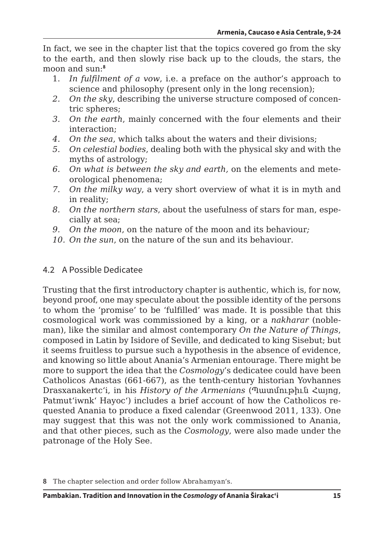In fact, we see in the chapter list that the topics covered go from the sky to the earth, and then slowly rise back up to the clouds, the stars, the moon and sun:**<sup>8</sup>**

- 1. *In fulfilment of a vow*, i.e. a preface on the author's approach to science and philosophy (present only in the long recension);
- *2. On the sky*, describing the universe structure composed of concentric spheres;
- *3. On the earth*, mainly concerned with the four elements and their interaction;
- *4. On the sea*, which talks about the waters and their divisions;
- *5. On celestial bodies*, dealing both with the physical sky and with the myths of astrology;
- *6. On what is between the sky and earth,* on the elements and meteorological phenomena;
- *7. On the milky way*, a very short overview of what it is in myth and in reality;
- *8. On the northern stars*, about the usefulness of stars for man, especially at sea;
- *9. On the moon*, on the nature of the moon and its behaviour*;*
- *10. On the sun*, on the nature of the sun and its behaviour*.*

# 4.2 A Possible Dedicatee

Trusting that the first introductory chapter is authentic, which is, for now, beyond proof, one may speculate about the possible identity of the persons to whom the 'promise' to be 'fulfilled' was made. It is possible that this cosmological work was commissioned by a king, or a *nakharar* (nobleman), like the similar and almost contemporary *On the Nature of Things*, composed in Latin by Isidore of Seville, and dedicated to king Sisebut; but it seems fruitless to pursue such a hypothesis in the absence of evidence, and knowing so little about Anania's Armenian entourage. There might be more to support the idea that the *Cosmology*'s dedicatee could have been Catholicos Anastas (661-667), as the tenth-century historian Yovhannes Drasxanakertc'i, in his *History of the Armenians* (Պատմութիւն Հայոց, Patmut'iwnk' Hayoc') includes a brief account of how the Catholicos requested Anania to produce a fixed calendar (Greenwood 2011, 133). One may suggest that this was not the only work commissioned to Anania, and that other pieces, such as the *Cosmology*, were also made under the patronage of the Holy See.

**<sup>8</sup>** The chapter selection and order follow Abrahamyan's.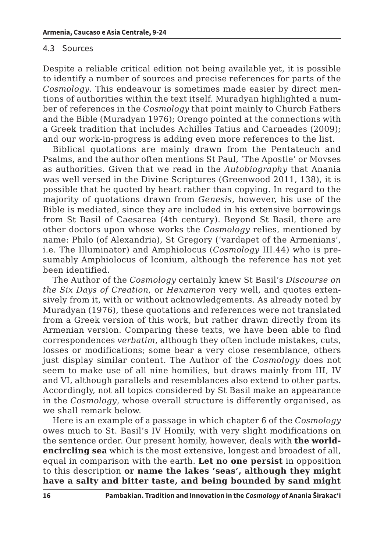#### 4.3 Sources

Despite a reliable critical edition not being available yet, it is possible to identify a number of sources and precise references for parts of the *Cosmology*. This endeavour is sometimes made easier by direct mentions of authorities within the text itself. Muradyan highlighted a number of references in the *Cosmology* that point mainly to Church Fathers and the Bible (Muradyan 1976); Orengo pointed at the connections with a Greek tradition that includes Achilles Tatius and Carneades (2009); and our work-in-progress is adding even more references to the list.

Biblical quotations are mainly drawn from the Pentateuch and Psalms, and the author often mentions St Paul, 'The Apostle' or Movses as authorities. Given that we read in the *Autobiography* that Anania was well versed in the Divine Scriptures (Greenwood 2011, 138), it is possible that he quoted by heart rather than copying. In regard to the majority of quotations drawn from *Genesis*, however, his use of the Bible is mediated, since they are included in his extensive borrowings from St Basil of Caesarea (4th century). Beyond St Basil, there are other doctors upon whose works the *Cosmology* relies, mentioned by name: Philo (of Alexandria), St Gregory ('vardapet of the Armenians', i.e. The Illuminator) and Amphiolocus (*Cosmology* III.44) who is presumably Amphiolocus of Iconium, although the reference has not yet been identified.

The Author of the *Cosmology* certainly knew St Basil's *Discourse on the Six Days of Creation*, or *Hexameron* very well, and quotes extensively from it, with or without acknowledgements. As already noted by Muradyan (1976), these quotations and references were not translated from a Greek version of this work, but rather drawn directly from its Armenian version. Comparing these texts, we have been able to find correspondences *verbatim*, although they often include mistakes, cuts, losses or modifications; some bear a very close resemblance, others just display similar content. The Author of the *Cosmology* does not seem to make use of all nine homilies, but draws mainly from III, IV and VI, although parallels and resemblances also extend to other parts. Accordingly, not all topics considered by St Basil make an appearance in the *Cosmology*, whose overall structure is differently organised, as we shall remark below.

Here is an example of a passage in which chapter 6 of the *Cosmology* owes much to St. Basil's IV Homily, with very slight modifications on the sentence order. Our present homily, however, deals with **the worldencircling sea** which is the most extensive, longest and broadest of all, equal in comparison with the earth. **Let no one persist** in opposition to this description **or name the lakes 'seas', although they might have a salty and bitter taste, and being bounded by sand might**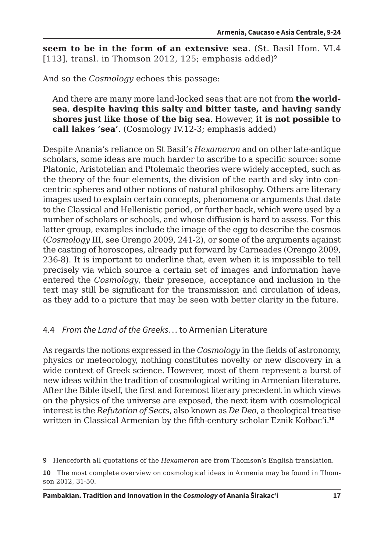**seem to be in the form of an extensive sea**. (St. Basil Hom. VI.4 [113], transl. in Thomson 2012, 125; emphasis added)**<sup>9</sup>**

And so the *Cosmology* echoes this passage:

And there are many more land-locked seas that are not from **the worldsea**, **despite having this salty and bitter taste, and having sandy shores just like those of the big sea**. However, **it is not possible to call lakes 'sea'**. (Cosmology IV.12-3; emphasis added)

Despite Anania's reliance on St Basil's *Hexameron* and on other late-antique scholars, some ideas are much harder to ascribe to a specific source: some Platonic, Aristotelian and Ptolemaic theories were widely accepted, such as the theory of the four elements, the division of the earth and sky into concentric spheres and other notions of natural philosophy. Others are literary images used to explain certain concepts, phenomena or arguments that date to the Classical and Hellenistic period, or further back, which were used by a number of scholars or schools, and whose diffusion is hard to assess. For this latter group, examples include the image of the egg to describe the cosmos (*Cosmology* III, see Orengo 2009, 241-2), or some of the arguments against the casting of horoscopes, already put forward by Carneades (Orengo 2009, 236-8). It is important to underline that, even when it is impossible to tell precisely via which source a certain set of images and information have entered the *Cosmology*, their presence, acceptance and inclusion in the text may still be significant for the transmission and circulation of ideas, as they add to a picture that may be seen with better clarity in the future.

### 4.4 *From the Land of the Greeks*… to Armenian Literature

As regards the notions expressed in the *Cosmology* in the fields of astronomy, physics or meteorology, nothing constitutes novelty or new discovery in a wide context of Greek science. However, most of them represent a burst of new ideas within the tradition of cosmological writing in Armenian literature. After the Bible itself, the first and foremost literary precedent in which views on the physics of the universe are exposed, the next item with cosmological interest is the *Refutation of Sects*, also known as *De Deo*, a theological treatise written in Classical Armenian by the fifth-century scholar Eznik Kołbac'i.**<sup>10</sup>**

**9** Henceforth all quotations of the *Hexameron* are from Thomson's English translation.

**10** The most complete overview on cosmological ideas in Armenia may be found in Thomson 2012, 31-50.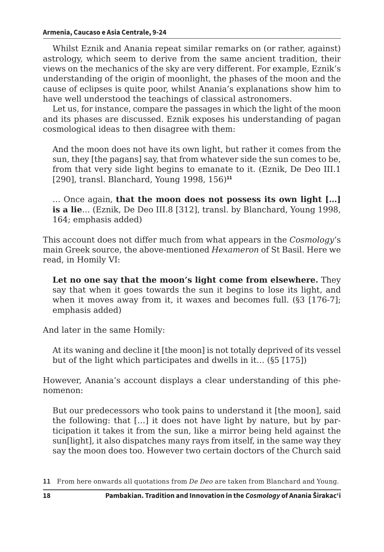Whilst Eznik and Anania repeat similar remarks on (or rather, against) astrology, which seem to derive from the same ancient tradition, their views on the mechanics of the sky are very different. For example, Eznik's understanding of the origin of moonlight, the phases of the moon and the cause of eclipses is quite poor, whilst Anania's explanations show him to have well understood the teachings of classical astronomers.

Let us, for instance, compare the passages in which the light of the moon and its phases are discussed. Eznik exposes his understanding of pagan cosmological ideas to then disagree with them:

And the moon does not have its own light, but rather it comes from the sun, they [the pagans] say, that from whatever side the sun comes to be, from that very side light begins to emanate to it. (Eznik, De Deo III.1 [290], transl. Blanchard, Young 1998, 156)**<sup>11</sup>**

… Once again, **that the moon does not possess its own light […] is a lie**… (Eznik, De Deo III.8 [312], transl. by Blanchard, Young 1998, 164; emphasis added)

This account does not differ much from what appears in the *Cosmology*'s main Greek source, the above-mentioned *Hexameron* of St Basil. Here we read, in Homily VI:

**Let no one say that the moon's light come from elsewhere.** They say that when it goes towards the sun it begins to lose its light, and when it moves away from it, it waxes and becomes full. (§3 [176-7]; emphasis added)

And later in the same Homily:

At its waning and decline it [the moon] is not totally deprived of its vessel but of the light which participates and dwells in it… (§5 [175])

However, Anania's account displays a clear understanding of this phenomenon:

But our predecessors who took pains to understand it [the moon], said the following: that […] it does not have light by nature, but by participation it takes it from the sun, like a mirror being held against the sun[light], it also dispatches many rays from itself, in the same way they say the moon does too. However two certain doctors of the Church said

**<sup>11</sup>** From here onwards all quotations from *De Deo* are taken from Blanchard and Young.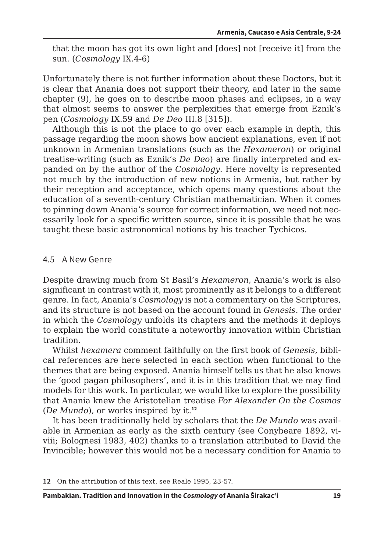that the moon has got its own light and [does] not [receive it] from the sun. (*Cosmology* IX.4-6)

Unfortunately there is not further information about these Doctors, but it is clear that Anania does not support their theory, and later in the same chapter (9), he goes on to describe moon phases and eclipses, in a way that almost seems to answer the perplexities that emerge from Eznik's pen (*Cosmology* IX.59 and *De Deo* III.8 [315]).

Although this is not the place to go over each example in depth, this passage regarding the moon shows how ancient explanations, even if not unknown in Armenian translations (such as the *Hexameron*) or original treatise-writing (such as Eznik's *De Deo*) are finally interpreted and expanded on by the author of the *Cosmology*. Here novelty is represented not much by the introduction of new notions in Armenia, but rather by their reception and acceptance, which opens many questions about the education of a seventh-century Christian mathematician. When it comes to pinning down Anania's source for correct information, we need not necessarily look for a specific written source, since it is possible that he was taught these basic astronomical notions by his teacher Tychicos.

### 4.5 A New Genre

Despite drawing much from St Basil's *Hexameron*, Anania's work is also significant in contrast with it, most prominently as it belongs to a different genre. In fact, Anania's *Cosmology* is not a commentary on the Scriptures, and its structure is not based on the account found in *Genesis*. The order in which the *Cosmology* unfolds its chapters and the methods it deploys to explain the world constitute a noteworthy innovation within Christian tradition.

Whilst *hexamera* comment faithfully on the first book of *Genesis*, biblical references are here selected in each section when functional to the themes that are being exposed. Anania himself tells us that he also knows the 'good pagan philosophers', and it is in this tradition that we may find models for this work. In particular, we would like to explore the possibility that Anania knew the Aristotelian treatise *For Alexander On the Cosmos* (*De Mundo*), or works inspired by it.**<sup>12</sup>**

It has been traditionally held by scholars that the *De Mundo* was available in Armenian as early as the sixth century (see Conybeare 1892, viviii; Bolognesi 1983, 402) thanks to a translation attributed to David the Invincible; however this would not be a necessary condition for Anania to

**<sup>12</sup>** On the attribution of this text, see Reale 1995, 23-57.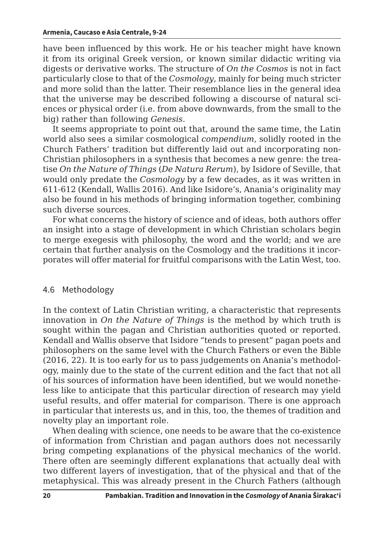#### **Armenia, Caucaso e Asia Centrale, 9-24**

have been influenced by this work. He or his teacher might have known it from its original Greek version, or known similar didactic writing via digests or derivative works. The structure of *On the Cosmos* is not in fact particularly close to that of the *Cosmology*, mainly for being much stricter and more solid than the latter. Their resemblance lies in the general idea that the universe may be described following a discourse of natural sciences or physical order (i.e. from above downwards, from the small to the big) rather than following *Genesis*.

It seems appropriate to point out that, around the same time, the Latin world also sees a similar cosmological *compendium*, solidly rooted in the Church Fathers' tradition but differently laid out and incorporating non-Christian philosophers in a synthesis that becomes a new genre: the treatise *On the Nature of Things* (*De Natura Rerum*), by Isidore of Seville, that would only predate the *Cosmology* by a few decades, as it was written in 611-612 (Kendall, Wallis 2016). And like Isidore's, Anania's originality may also be found in his methods of bringing information together, combining such diverse sources.

For what concerns the history of science and of ideas, both authors offer an insight into a stage of development in which Christian scholars begin to merge exegesis with philosophy, the word and the world; and we are certain that further analysis on the Cosmology and the traditions it incorporates will offer material for fruitful comparisons with the Latin West, too.

### 4.6 Methodology

In the context of Latin Christian writing, a characteristic that represents innovation in *On the Nature of Things* is the method by which truth is sought within the pagan and Christian authorities quoted or reported. Kendall and Wallis observe that Isidore "tends to present" pagan poets and philosophers on the same level with the Church Fathers or even the Bible (2016, 22). It is too early for us to pass judgements on Anania's methodology, mainly due to the state of the current edition and the fact that not all of his sources of information have been identified, but we would nonetheless like to anticipate that this particular direction of research may yield useful results, and offer material for comparison. There is one approach in particular that interests us, and in this, too, the themes of tradition and novelty play an important role.

When dealing with science, one needs to be aware that the co-existence of information from Christian and pagan authors does not necessarily bring competing explanations of the physical mechanics of the world. There often are seemingly different explanations that actually deal with two different layers of investigation, that of the physical and that of the metaphysical. This was already present in the Church Fathers (although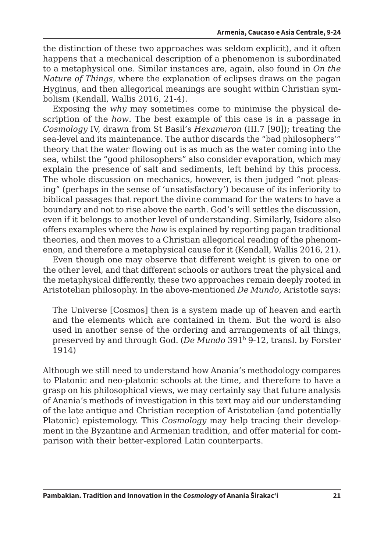the distinction of these two approaches was seldom explicit), and it often happens that a mechanical description of a phenomenon is subordinated to a metaphysical one. Similar instances are, again, also found in *On the Nature of Things*, where the explanation of eclipses draws on the pagan Hyginus, and then allegorical meanings are sought within Christian symbolism (Kendall, Wallis 2016, 21-4).

Exposing the *why* may sometimes come to minimise the physical description of the *how*. The best example of this case is in a passage in *Cosmology* IV, drawn from St Basil's *Hexameron* (III.7 [90]); treating the sea-level and its maintenance. The author discards the "bad philosophers'" theory that the water flowing out is as much as the water coming into the sea, whilst the "good philosophers" also consider evaporation, which may explain the presence of salt and sediments, left behind by this process. The whole discussion on mechanics, however, is then judged "not pleasing" (perhaps in the sense of 'unsatisfactory') because of its inferiority to biblical passages that report the divine command for the waters to have a boundary and not to rise above the earth. God's will settles the discussion, even if it belongs to another level of understanding. Similarly, Isidore also offers examples where the *how* is explained by reporting pagan traditional theories, and then moves to a Christian allegorical reading of the phenomenon, and therefore a metaphysical cause for it (Kendall, Wallis 2016, 21).

Even though one may observe that different weight is given to one or the other level, and that different schools or authors treat the physical and the metaphysical differently, these two approaches remain deeply rooted in Aristotelian philosophy. In the above-mentioned *De Mundo*, Aristotle says:

The Universe [Cosmos] then is a system made up of heaven and earth and the elements which are contained in them. But the word is also used in another sense of the ordering and arrangements of all things, preserved by and through God. (*De Mundo* 391<sup>b</sup> 9-12, transl. by Forster 1914)

Although we still need to understand how Anania's methodology compares to Platonic and neo-platonic schools at the time, and therefore to have a grasp on his philosophical views, we may certainly say that future analysis of Anania's methods of investigation in this text may aid our understanding of the late antique and Christian reception of Aristotelian (and potentially Platonic) epistemology. This *Cosmology* may help tracing their development in the Byzantine and Armenian tradition, and offer material for comparison with their better-explored Latin counterparts.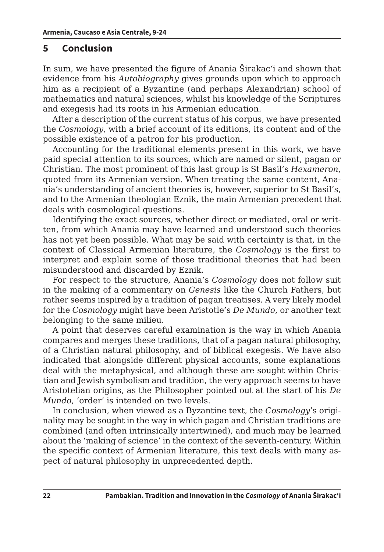## **5 Conclusion**

In sum, we have presented the figure of Anania Širakac'i and shown that evidence from his *Autobiography* gives grounds upon which to approach him as a recipient of a Byzantine (and perhaps Alexandrian) school of mathematics and natural sciences, whilst his knowledge of the Scriptures and exegesis had its roots in his Armenian education.

After a description of the current status of his corpus, we have presented the *Cosmology*, with a brief account of its editions, its content and of the possible existence of a patron for his production.

Accounting for the traditional elements present in this work, we have paid special attention to its sources, which are named or silent, pagan or Christian. The most prominent of this last group is St Basil's *Hexameron*, quoted from its Armenian version. When treating the same content, Anania's understanding of ancient theories is, however, superior to St Basil's, and to the Armenian theologian Eznik, the main Armenian precedent that deals with cosmological questions.

Identifying the exact sources, whether direct or mediated, oral or written, from which Anania may have learned and understood such theories has not yet been possible. What may be said with certainty is that, in the context of Classical Armenian literature, the *Cosmology* is the first to interpret and explain some of those traditional theories that had been misunderstood and discarded by Eznik.

For respect to the structure, Anania's *Cosmology* does not follow suit in the making of a commentary on *Genesis* like the Church Fathers, but rather seems inspired by a tradition of pagan treatises. A very likely model for the *Cosmology* might have been Aristotle's *De Mundo*, or another text belonging to the same milieu.

A point that deserves careful examination is the way in which Anania compares and merges these traditions, that of a pagan natural philosophy, of a Christian natural philosophy, and of biblical exegesis. We have also indicated that alongside different physical accounts, some explanations deal with the metaphysical, and although these are sought within Christian and Jewish symbolism and tradition, the very approach seems to have Aristotelian origins, as the Philosopher pointed out at the start of his *De Mundo*, 'order' is intended on two levels.

In conclusion, when viewed as a Byzantine text, the *Cosmology*'s originality may be sought in the way in which pagan and Christian traditions are combined (and often intrinsically intertwined), and much may be learned about the 'making of science' in the context of the seventh-century. Within the specific context of Armenian literature, this text deals with many aspect of natural philosophy in unprecedented depth.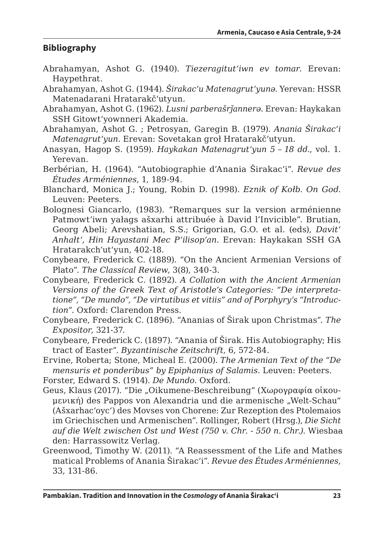# **Bibliography**

- Abrahamyan, Ashot G. (1940). *Tiezeragitut'iwn ev tomar*. Erevan: Haypethrat.
- Abrahamyan, Ashot G. (1944). *Širakac'u Matenagrut'yunǝ*. Yerevan: HSSR Matenadarani Hratarakč'utyun.
- Abrahamyan, Ashot G. (1962). *Lusni parberašrǰannerə*. Erevan: Haykakan SSH Gitowt'yownneri Akademia.
- Abrahamyan, Ashot G. ; Petrosyan, Garegin B. (1979). *Anania Širakac'i Matenagrut'yun*. Erevan: Sovetakan groł Hratarakč'utyun.
- Anasyan, Hagop S. (1959). *Haykakan Matenagrut'yun 5 – 18 dd.*, vol. 1. Yerevan.
- Berbérian, H. (1964). "Autobiographie d'Anania Širakac'i". *Revue des Études Arméniennes*, 1, 189-94.
- Blanchard, Monica J.; Young, Robin D. (1998). *Eznik of Kołb. On God*. Leuven: Peeters.
- Bolognesi Giancarlo, (1983). "Remarques sur la version arménienne Patmowt'iwn yałags ašxarhi attribuée à David l'Invicible". Brutian, Georg Abeli; Arevshatian, S.S.; Grigorian, G.O. et al. (eds), *Davit' Anhałt', Hin Hayastani Mec P'ilisop'an*. Erevan: Haykakan SSH GA Hratarakchʻutʻyun, 402-18.
- Conybeare, Frederick C. (1889). "On the Ancient Armenian Versions of Plato". *The Classical Review*, 3(8), 340-3.
- Conybeare, Frederick C. (1892). *A Collation with the Ancient Armenian Versions of the Greek Text of Aristotle's Categories: "De interpretatione", "De mundo", "De virtutibus et vitiis" and of Porphyry's "Introduction"*. Oxford: Clarendon Press.
- Conybeare, Frederick C. (1896). "Ananias of Širak upon Christmas". *The Expositor*, 321-37.
- Conybeare, Frederick C. (1897). "Anania of Širak. His Autobiography; His tract of Easter". *Byzantinische Zeitschrift*, 6, 572-84.
- Ervine, Roberta; Stone, Micheal E. (2000). *The Armenian Text of the "De mensuris et ponderibus" by Epiphanius of Salamis*. Leuven: Peeters.
- Forster, Edward S. (1914). *De Mundo*. Oxford.
- Geus, Klaus (2017). "Die "Oikumene-Beschreibung" (Χωρογραφία οἰκουμενική) des Pappos von Alexandria und die armenische "Welt-Schau" (Ašxarhac'oyc') des Movses von Chorene: Zur Rezeption des Ptolemaios im Griechischen und Armenischen". Rollinger, Robert (Hrsg.), *Die Sicht*  auf die Welt zwischen Ost und West (750 v. Chr. - 550 n. Chr.). Wiesbaa den: Harrassowitz Verlag.
- Greenwood, Timothy W. (2011). "A Reassessment of the Life and Mathes matical Problems of Anania Širakac'i". *Revue des Études Arméniennes*, 33, 131-86.